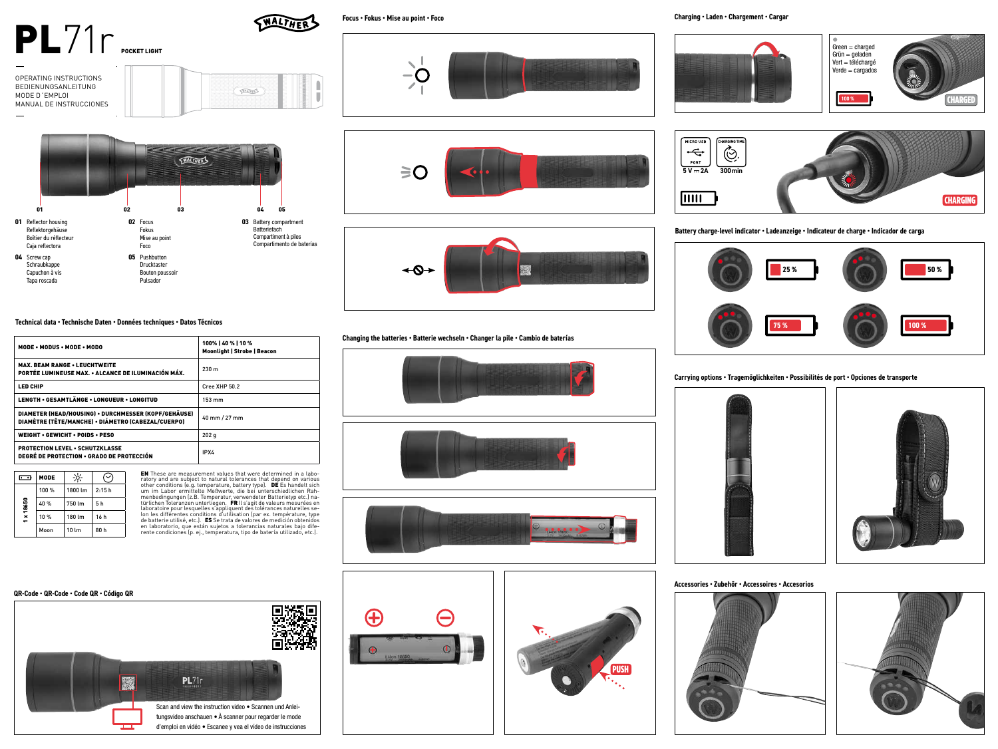# $PL71r$ <sub>POCKET LIGHT</sub>





# **Technical data • Technische Daten • Données techniques • Datos Técnicos**

| MODE . MODUS . MODE . MODO                                                                                 | 100%   40 %   10 %<br><b>Moonlight   Strobe   Beacon</b> |
|------------------------------------------------------------------------------------------------------------|----------------------------------------------------------|
| <b>MAX. BEAM RANGE . LEUCHTWEITE</b><br>PORTÉE LUMINEUSE MAX. • ALCANCE DE ILUMINACIÓN MÁX.                | 230 <sub>m</sub>                                         |
| <b>LED CHIP</b>                                                                                            | Cree XHP 50.2                                            |
| LENGTH • GESAMTLÄNGE • LONGUEUR • LONGITUD                                                                 | $153 \text{ mm}$                                         |
| DIAMETER (HEAD/HOUSING) • DURCHMESSER (KOPF/GEHÄUSE)<br>DIAMÈTRE (TÊTE/MANCHE) • DIÁMETRO (CABEZAL/CUERPO) | 40 mm / 27 mm                                            |
| <b>WEIGHT • GEWICHT • POIDS • PESO</b>                                                                     | 202q                                                     |
| <b>PROTECTION LEVEL . SCHUTZKLASSE</b><br><b>DEGRÉ DE PROTECTION • GRADO DE PROTECCIÓN</b>                 | IPX4                                                     |



EN These are measurement values that were determined in a labo- ratory and are subject to natural tolerances that depend on various other conditions (e.g. temperature, battery type). DE Es handelt sich<br>um im Labor ermittelte Meßwerte, die bei unterschiedlichen Rah-<br>menbedingungen (z.B. Temperatur, verwendeter Batterietyp etc.) na-<br>türlichen Toleranze laboratoire pour lesquelles s'appliquent des tolérances naturelles se-<br>lon les différentes conditions d'utilisation (par ex. température, type<br>de batterie utilisé, etc.). ES Se trata de valores de medición obtenidos<br>en lab **Focus • Fokus • Mise au point • Foco**

WALTHER

п













**Charging • Laden • Chargement • Cargar**







**Battery charge-level indicator • Ladeanzeige • Indicateur de charge • Indicador de carga**



**Carrying options • Tragemöglichkeiten • Possibilités de port • Opciones de transporte**





**Accessories • Zubehör • Accessoires • Accesorios**



**PUSH** 



### **QR-Code • QR-Code • Code QR • Código QR**